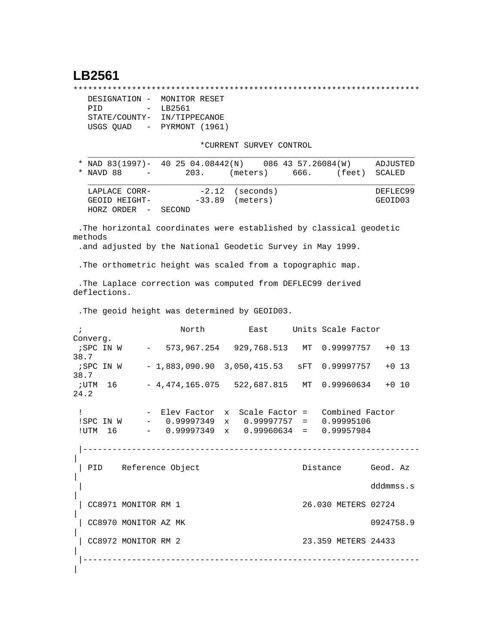## **LB2561**

\*\*\*\*\*\*\*\*\*\*\*\*\*\*\*\*\*\*\*\*\*\*\*\*\*\*\*\*\*\*\*\*\*\*\*\*\*\*\*\*\*\*\*\*\*\*\*\*\*\*\*\*\*\*\*\*\*\*\*\*\*\*\*\*\*\*\*\*\*\*\*

```
 DESIGNATION - MONITOR RESET
PID - LB2561
STATE/COUNTY- IN/TIPPECANOE
USGS QUAD - PYRMONT (1961)
```
\*CURRENT SURVEY CONTROL

| * NAD 83(1997)- 40 25 04.08442(N) 086 43 57.26084(W) |        |                   |        | ADJUSTED |
|------------------------------------------------------|--------|-------------------|--------|----------|
| * NAVD 88<br>$\sim$ $ -$                             | 203.   | $(meters)$ 666.   | (feet) | SCALED   |
|                                                      |        |                   |        |          |
| LAPLACE CORR-                                        |        | $-2.12$ (seconds) |        | DEFLEC99 |
| GEOID HEIGHT-                                        |        | $-33.89$ (meters) |        | GEOID03  |
| HORZ ORDER -                                         | SECOND |                   |        |          |

 .The horizontal coordinates were established by classical geodetic methods

.and adjusted by the National Geodetic Survey in May 1999.

.The orthometric height was scaled from a topographic map.

 .The Laplace correction was computed from DEFLEC99 derived deflections.

.The geoid height was determined by GEOID03.

|                      | North                 |                              | East Units Scale Factor                                                                                                     |           |
|----------------------|-----------------------|------------------------------|-----------------------------------------------------------------------------------------------------------------------------|-----------|
| Converg.<br>38.7     |                       |                              | ; SPC IN W - 573, 967. 254 929, 768. 513 MT 0.99997757 + 0 13                                                               |           |
| ;SPC IN W<br>38.7    |                       |                              | $-1,883,090.90$ 3,050,415.53 SFT 0.99997757 +0 13                                                                           |           |
| ;utm 16<br>24.2      |                       |                              | $-4,474,165.075$ 522,687.815 MT 0.99960634 +0 10                                                                            |           |
| !UTM 16              | SPC IN W - 0.99997349 | ---------------------------- | - Elev Factor x Scale Factor = Combined Factor<br>$x = 0.99997757 = 0.99995106$<br>$-$ 0.99997349 x 0.99960634 = 0.99957984 |           |
|                      | PID Reference Object  |                              | Distance                                                                                                                    | Geod. Az  |
|                      |                       |                              |                                                                                                                             | dddmmss.s |
| CC8971 MONITOR RM 1  |                       |                              | 26.030 METERS 02724                                                                                                         |           |
| CC8970 MONITOR AZ MK |                       |                              |                                                                                                                             | 0924758.9 |
| CC8972 MONITOR RM 2  |                       |                              | 23.359 METERS 24433                                                                                                         |           |
|                      |                       |                              |                                                                                                                             |           |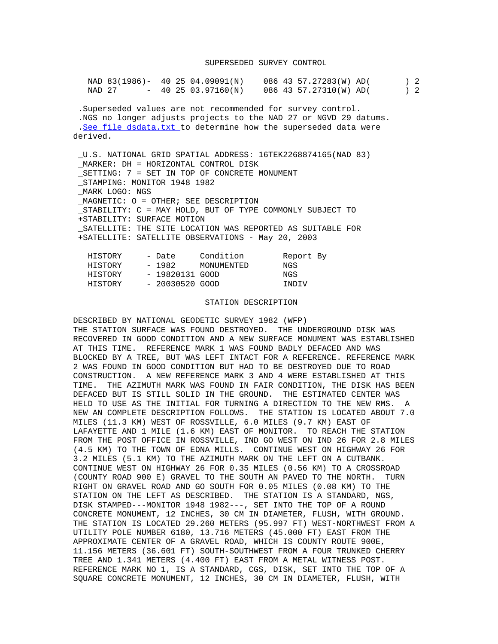|                |                                                   | NAD 83(1986)- 40 25 04.09091(N) 086 43 57.27283(W) AD( ) 2                                                                                                                                        |  |
|----------------|---------------------------------------------------|---------------------------------------------------------------------------------------------------------------------------------------------------------------------------------------------------|--|
|                |                                                   | NAD 27 - 40 25 03.97160(N) 086 43 57.27310(W) AD( ) 2                                                                                                                                             |  |
| derived.       |                                                   | . Superseded values are not recommended for survey control.<br>.NGS no longer adjusts projects to the NAD 27 or NGVD 29 datums.<br>.See file dsdata.txt to determine how the superseded data were |  |
|                |                                                   | _U.S. NATIONAL GRID SPATIAL ADDRESS: 16TEK2268874165(NAD 83)                                                                                                                                      |  |
|                | MARKER: DH = HORIZONTAL CONTROL DISK              |                                                                                                                                                                                                   |  |
|                | SETTING: 7 = SET IN TOP OF CONCRETE MONUMENT      |                                                                                                                                                                                                   |  |
|                | STAMPING: MONITOR 1948 1982                       |                                                                                                                                                                                                   |  |
| MARK LOGO: NGS |                                                   |                                                                                                                                                                                                   |  |
|                | MAGNETIC: O = OTHER; SEE DESCRIPTION              |                                                                                                                                                                                                   |  |
|                |                                                   | STABILITY: C = MAY HOLD, BUT OF TYPE COMMONLY SUBJECT TO                                                                                                                                          |  |
|                | +STABILITY: SURFACE MOTION                        |                                                                                                                                                                                                   |  |
|                |                                                   | _SATELLITE: THE SITE LOCATION WAS REPORTED AS SUITABLE FOR                                                                                                                                        |  |
|                | +SATELLITE: SATELLITE OBSERVATIONS - May 20, 2003 |                                                                                                                                                                                                   |  |
|                |                                                   | HISTORY - Date Condition Report By                                                                                                                                                                |  |
|                | HISTORY - 1982 MONUMENTED NGS                     |                                                                                                                                                                                                   |  |
|                | HISTORY - 19820131 GOOD NGS                       |                                                                                                                                                                                                   |  |
|                | HISTORY - 20030520 GOOD                           | INDIV                                                                                                                                                                                             |  |
|                |                                                   |                                                                                                                                                                                                   |  |

## STATION DESCRIPTION

DESCRIBED BY NATIONAL GEODETIC SURVEY 1982 (WFP) THE STATION SURFACE WAS FOUND DESTROYED. THE UNDERGROUND DISK WAS RECOVERED IN GOOD CONDITION AND A NEW SURFACE MONUMENT WAS ESTABLISHED AT THIS TIME. REFERENCE MARK 1 WAS FOUND BADLY DEFACED AND WAS BLOCKED BY A TREE, BUT WAS LEFT INTACT FOR A REFERENCE. REFERENCE MARK 2 WAS FOUND IN GOOD CONDITION BUT HAD TO BE DESTROYED DUE TO ROAD CONSTRUCTION. A NEW REFERENCE MARK 3 AND 4 WERE ESTABLISHED AT THIS TIME. THE AZIMUTH MARK WAS FOUND IN FAIR CONDITION, THE DISK HAS BEEN DEFACED BUT IS STILL SOLID IN THE GROUND. THE ESTIMATED CENTER WAS HELD TO USE AS THE INITIAL FOR TURNING A DIRECTION TO THE NEW RMS. A NEW AN COMPLETE DESCRIPTION FOLLOWS. THE STATION IS LOCATED ABOUT 7.0 MILES (11.3 KM) WEST OF ROSSVILLE, 6.0 MILES (9.7 KM) EAST OF LAFAYETTE AND 1 MILE (1.6 KM) EAST OF MONITOR. TO REACH THE STATION FROM THE POST OFFICE IN ROSSVILLE, IND GO WEST ON IND 26 FOR 2.8 MILES (4.5 KM) TO THE TOWN OF EDNA MILLS. CONTINUE WEST ON HIGHWAY 26 FOR 3.2 MILES (5.1 KM) TO THE AZIMUTH MARK ON THE LEFT ON A CUTBANK. CONTINUE WEST ON HIGHWAY 26 FOR 0.35 MILES (0.56 KM) TO A CROSSROAD (COUNTY ROAD 900 E) GRAVEL TO THE SOUTH AN PAVED TO THE NORTH. TURN RIGHT ON GRAVEL ROAD AND GO SOUTH FOR 0.05 MILES (0.08 KM) TO THE STATION ON THE LEFT AS DESCRIBED. THE STATION IS A STANDARD, NGS, DISK STAMPED---MONITOR 1948 1982---, SET INTO THE TOP OF A ROUND CONCRETE MONUMENT, 12 INCHES, 30 CM IN DIAMETER, FLUSH, WITH GROUND. THE STATION IS LOCATED 29.260 METERS (95.997 FT) WEST-NORTHWEST FROM A UTILITY POLE NUMBER 6180, 13.716 METERS (45.000 FT) EAST FROM THE APPROXIMATE CENTER OF A GRAVEL ROAD, WHICH IS COUNTY ROUTE 900E, 11.156 METERS (36.601 FT) SOUTH-SOUTHWEST FROM A FOUR TRUNKED CHERRY TREE AND 1.341 METERS (4.400 FT) EAST FROM A METAL WITNESS POST. REFERENCE MARK NO 1, IS A STANDARD, CGS, DISK, SET INTO THE TOP OF A SQUARE CONCRETE MONUMENT, 12 INCHES, 30 CM IN DIAMETER, FLUSH, WITH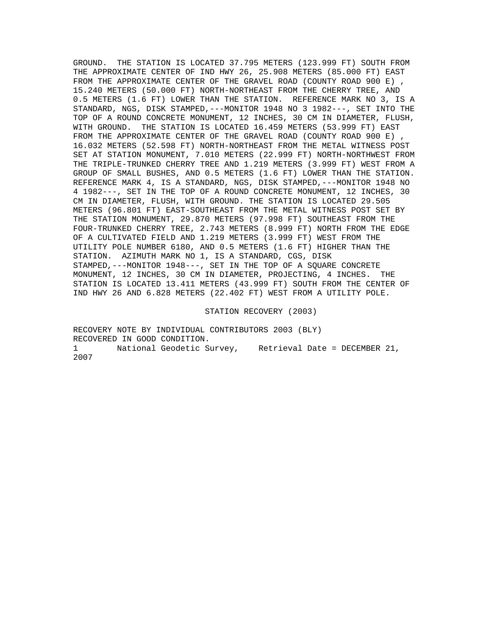GROUND. THE STATION IS LOCATED 37.795 METERS (123.999 FT) SOUTH FROM THE APPROXIMATE CENTER OF IND HWY 26, 25.908 METERS (85.000 FT) EAST FROM THE APPROXIMATE CENTER OF THE GRAVEL ROAD (COUNTY ROAD 900 E), 15.240 METERS (50.000 FT) NORTH-NORTHEAST FROM THE CHERRY TREE, AND 0.5 METERS (1.6 FT) LOWER THAN THE STATION. REFERENCE MARK NO 3, IS A STANDARD, NGS, DISK STAMPED,---MONITOR 1948 NO 3 1982---, SET INTO THE TOP OF A ROUND CONCRETE MONUMENT, 12 INCHES, 30 CM IN DIAMETER, FLUSH, WITH GROUND. THE STATION IS LOCATED 16.459 METERS (53.999 FT) EAST FROM THE APPROXIMATE CENTER OF THE GRAVEL ROAD (COUNTY ROAD 900 E), 16.032 METERS (52.598 FT) NORTH-NORTHEAST FROM THE METAL WITNESS POST SET AT STATION MONUMENT, 7.010 METERS (22.999 FT) NORTH-NORTHWEST FROM THE TRIPLE-TRUNKED CHERRY TREE AND 1.219 METERS (3.999 FT) WEST FROM A GROUP OF SMALL BUSHES, AND 0.5 METERS (1.6 FT) LOWER THAN THE STATION. REFERENCE MARK 4, IS A STANDARD, NGS, DISK STAMPED,---MONITOR 1948 NO 4 1982---, SET IN THE TOP OF A ROUND CONCRETE MONUMENT, 12 INCHES, 30 CM IN DIAMETER, FLUSH, WITH GROUND. THE STATION IS LOCATED 29.505 METERS (96.801 FT) EAST-SOUTHEAST FROM THE METAL WITNESS POST SET BY THE STATION MONUMENT, 29.870 METERS (97.998 FT) SOUTHEAST FROM THE FOUR-TRUNKED CHERRY TREE, 2.743 METERS (8.999 FT) NORTH FROM THE EDGE OF A CULTIVATED FIELD AND 1.219 METERS (3.999 FT) WEST FROM THE UTILITY POLE NUMBER 6180, AND 0.5 METERS (1.6 FT) HIGHER THAN THE STATION. AZIMUTH MARK NO 1, IS A STANDARD, CGS, DISK STAMPED,---MONITOR 1948---, SET IN THE TOP OF A SQUARE CONCRETE MONUMENT, 12 INCHES, 30 CM IN DIAMETER, PROJECTING, 4 INCHES. THE STATION IS LOCATED 13.411 METERS (43.999 FT) SOUTH FROM THE CENTER OF IND HWY 26 AND 6.828 METERS (22.402 FT) WEST FROM A UTILITY POLE.

STATION RECOVERY (2003)

RECOVERY NOTE BY INDIVIDUAL CONTRIBUTORS 2003 (BLY) RECOVERED IN GOOD CONDITION. 1 National Geodetic Survey, Retrieval Date = DECEMBER 21, 2007